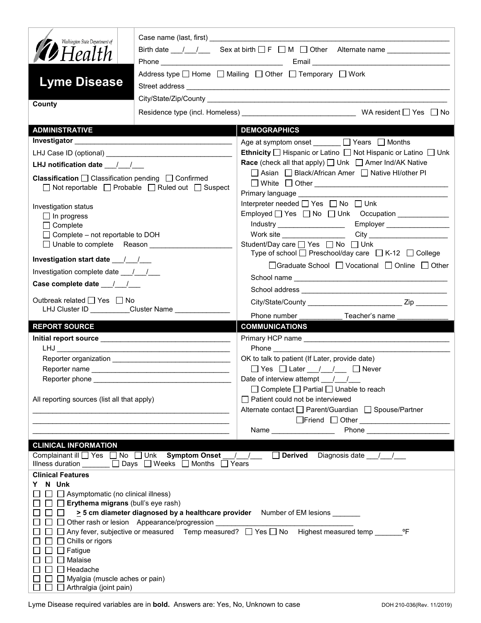| Washington State Department of                                                         |                                                                       | Birth date $\frac{1}{\sqrt{2}}$ Sex at birth $\Box$ F $\Box$ M $\Box$ Other Alternate name $\Box$                                                                                                                                                        |
|----------------------------------------------------------------------------------------|-----------------------------------------------------------------------|----------------------------------------------------------------------------------------------------------------------------------------------------------------------------------------------------------------------------------------------------------|
| <b>12</b> Health                                                                       |                                                                       |                                                                                                                                                                                                                                                          |
|                                                                                        |                                                                       | Address type $\Box$ Home $\Box$ Mailing $\Box$ Other $\Box$ Temporary $\Box$ Work                                                                                                                                                                        |
| <b>Lyme Disease</b>                                                                    |                                                                       |                                                                                                                                                                                                                                                          |
|                                                                                        |                                                                       |                                                                                                                                                                                                                                                          |
| County                                                                                 |                                                                       |                                                                                                                                                                                                                                                          |
|                                                                                        |                                                                       |                                                                                                                                                                                                                                                          |
| <b>ADMINISTRATIVE</b>                                                                  |                                                                       | <b>DEMOGRAPHICS</b>                                                                                                                                                                                                                                      |
|                                                                                        |                                                                       | Age at symptom onset _______ □ Years □ Months                                                                                                                                                                                                            |
|                                                                                        |                                                                       | Ethnicity □ Hispanic or Latino □ Not Hispanic or Latino □ Unk                                                                                                                                                                                            |
| LHJ notification date $\frac{1}{\sqrt{2}}$                                             |                                                                       | <b>Race</b> (check all that apply) □ Unk □ Amer Ind/AK Native                                                                                                                                                                                            |
|                                                                                        | <b>Classification</b> $\Box$ Classification pending $\Box$ Confirmed  | □ Asian □ Black/African Amer □ Native HI/other PI                                                                                                                                                                                                        |
|                                                                                        | $\Box$ Not reportable $\Box$ Probable $\Box$ Ruled out $\Box$ Suspect |                                                                                                                                                                                                                                                          |
|                                                                                        |                                                                       | Primary language ___________<br>Interpreter needed $\Box$ Yes $\Box$ No $\Box$ Unk                                                                                                                                                                       |
| Investigation status                                                                   |                                                                       | Employed <sup>1</sup> Yes <sup>1</sup> No <sup>1</sup> Unk Occupation 1 Publishing 1 Publishing 1 Publishing 1 Publishing 1 Publishing 1 Publishing 1 Publishing 1 Publishing 1 Publishing 1 Publishing 1 Publishing 1 Publishing 1 Publishing 1 Publish |
| $\Box$ In progress<br>$\Box$ Complete                                                  |                                                                       | Industry _____________________<br>Employer __________________                                                                                                                                                                                            |
| $\Box$ Complete – not reportable to DOH                                                |                                                                       |                                                                                                                                                                                                                                                          |
|                                                                                        | □ Unable to complete Reason _______________                           | Student/Day care <sup>1</sup> Yes <sup>1</sup> No <sup>1</sup> Unk                                                                                                                                                                                       |
|                                                                                        |                                                                       | Type of school $\Box$ Preschool/day care $\Box$ K-12 $\Box$ College                                                                                                                                                                                      |
| Investigation complete date ___/___/___                                                |                                                                       | □Graduate School □ Vocational □ Online □ Other                                                                                                                                                                                                           |
|                                                                                        |                                                                       |                                                                                                                                                                                                                                                          |
|                                                                                        |                                                                       |                                                                                                                                                                                                                                                          |
| Outbreak related □ Yes □ No                                                            |                                                                       |                                                                                                                                                                                                                                                          |
|                                                                                        |                                                                       |                                                                                                                                                                                                                                                          |
|                                                                                        | LHJ Cluster ID _________Cluster Name ______________                   | Phone number<br>Teacher's name                                                                                                                                                                                                                           |
| <b>REPORT SOURCE</b>                                                                   |                                                                       | <b>COMMUNICATIONS</b>                                                                                                                                                                                                                                    |
|                                                                                        |                                                                       |                                                                                                                                                                                                                                                          |
|                                                                                        |                                                                       |                                                                                                                                                                                                                                                          |
|                                                                                        |                                                                       | OK to talk to patient (If Later, provide date)                                                                                                                                                                                                           |
|                                                                                        |                                                                       |                                                                                                                                                                                                                                                          |
| Reporter phone                                                                         |                                                                       | Date of interview attempt / /                                                                                                                                                                                                                            |
|                                                                                        |                                                                       | $\Box$ Complete $\Box$ Partial $\Box$ Unable to reach                                                                                                                                                                                                    |
| All reporting sources (list all that apply)                                            |                                                                       | $\Box$ Patient could not be interviewed<br>Alternate contact<br>□ Parent/Guardian<br>□ Spouse/Partner                                                                                                                                                    |
|                                                                                        |                                                                       | □Friend □ Other <u>______________________</u>                                                                                                                                                                                                            |
|                                                                                        |                                                                       | Name $\frac{1}{2}$                                                                                                                                                                                                                                       |
| <b>CLINICAL INFORMATION</b>                                                            |                                                                       |                                                                                                                                                                                                                                                          |
|                                                                                        | Complainant ill Ves No Unk Symptom Onset                              | / / Derived Diagnosis date / /                                                                                                                                                                                                                           |
|                                                                                        | Illness duration ______ □ Days □ Weeks □ Months □ Years               |                                                                                                                                                                                                                                                          |
| <b>Clinical Features</b>                                                               |                                                                       |                                                                                                                                                                                                                                                          |
| N Unk<br>Y.                                                                            |                                                                       |                                                                                                                                                                                                                                                          |
| $\Box$ Asymptomatic (no clinical illness)<br>$\Box$ Erythema migrans (bull's eye rash) |                                                                       |                                                                                                                                                                                                                                                          |
| $\Box$                                                                                 |                                                                       | > 5 cm diameter diagnosed by a healthcare provider Number of EM lesions ______                                                                                                                                                                           |
|                                                                                        | □ Other rash or lesion Appearance/progression                         |                                                                                                                                                                                                                                                          |
|                                                                                        |                                                                       | □ Any fever, subjective or measured Temp measured? □ Yes □ No Highest measured temp<br>$^{\circ}$ F                                                                                                                                                      |
| $\Box$ Chills or rigors                                                                |                                                                       |                                                                                                                                                                                                                                                          |
| $\Box$ Fatigue<br>$\Box$ Malaise                                                       |                                                                       |                                                                                                                                                                                                                                                          |
| $\Box$ Headache                                                                        |                                                                       |                                                                                                                                                                                                                                                          |
| $\Box$ Myalgia (muscle aches or pain)<br>$\Box$ Arthralgia (joint pain)                |                                                                       |                                                                                                                                                                                                                                                          |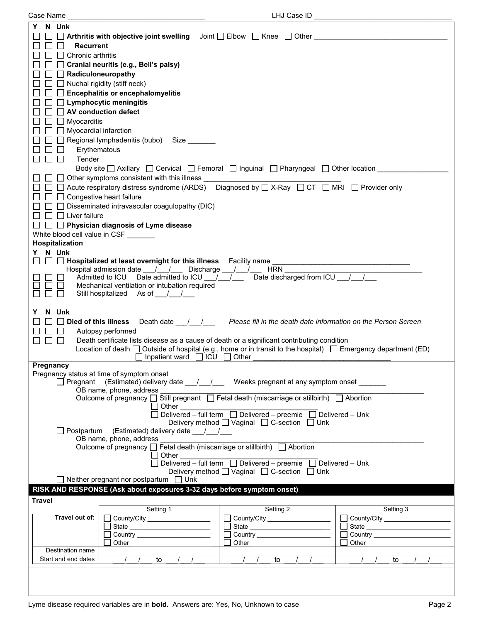| N Unk<br>Y<br>Arthritis with objective joint swelling $\bigcup$ Doint $\bigcap$ Elbow $\bigcap$ Knee $\bigcap$ Other<br><b>Recurrent</b><br>Chronic arthritis<br>$\mathsf{L}$<br>□ Cranial neuritis (e.g., Bell's palsy)<br>$\Box$ Radiculoneuropathy<br>$\Box$ Nuchal rigidity (stiff neck)<br>$\Box\ \Box$ Encephalitis or encephalomyelitis<br>$\Box$ Lymphocytic meningitis<br>AV conduction defect<br>$\mathbf{L}$<br>$\Box$<br>Myocarditis<br>$\Box$<br>Myocardial infarction<br>Regional lymphadenitis (bubo) Size<br>$\Box$<br>$\Box$<br>Erythematous<br>Tender<br>$\mathbf{L}$<br>Body site $\Box$ Axillary $\Box$ Cervical $\Box$ Femoral $\Box$ Inguinal $\Box$ Pharyngeal $\Box$ Other location ___<br>$\Box$ $\Box$ Other symptoms consistent with this illness<br>□ □ Acute respiratory distress syndrome (ARDS) Diagnosed by □ X-Ray □ CT □ MRI □ Provider only<br>$\Box$ $\Box$ Congestive heart failure<br>$\Box$ Disseminated intravascular coagulopathy (DIC)<br>$\Box$ Liver failure<br>$\Box$<br>$\Box$ Physician diagnosis of Lyme disease<br>White blood cell value in CSF<br>Hospitalization<br>N Unk<br>Y.<br>□ □ Hospitalized at least overnight for this illness Facility name ________________________________<br><b>HRN</b><br>Hospital admission date __/__/___ Discharge __/__/__<br>Date discharged from ICU / /<br>Admitted to ICU Date admitted to ICU / /<br>Mechanical ventilation or intubation required<br>Still hospitalized As of 11/12<br>N Unk<br>Died of this illness<br>Death date <u>Janual Renesse</u> fill in the death date information on the Person Screen<br>Autopsy performed<br>Death certificate lists disease as a cause of death or a significant contributing condition<br>$\perp$<br>Location of death $\Box$ Outside of hospital (e.g., home or in transit to the hospital) $\Box$ Emergency department (ED)<br>$\Box$ Inpatient ward $\Box$ ICU $\Box$ Other<br>Pregnancy<br>Pregnancy status at time of symptom onset<br>□ Pregnant (Estimated) delivery date __/__/ __ Weeks pregnant at any symptom onset ______ |
|---------------------------------------------------------------------------------------------------------------------------------------------------------------------------------------------------------------------------------------------------------------------------------------------------------------------------------------------------------------------------------------------------------------------------------------------------------------------------------------------------------------------------------------------------------------------------------------------------------------------------------------------------------------------------------------------------------------------------------------------------------------------------------------------------------------------------------------------------------------------------------------------------------------------------------------------------------------------------------------------------------------------------------------------------------------------------------------------------------------------------------------------------------------------------------------------------------------------------------------------------------------------------------------------------------------------------------------------------------------------------------------------------------------------------------------------------------------------------------------------------------------------------------------------------------------------------------------------------------------------------------------------------------------------------------------------------------------------------------------------------------------------------------------------------------------------------------------------------------------------------------------------------------------------------------------------------------------------------------------------------------------------------------------------------------------------------------|
|                                                                                                                                                                                                                                                                                                                                                                                                                                                                                                                                                                                                                                                                                                                                                                                                                                                                                                                                                                                                                                                                                                                                                                                                                                                                                                                                                                                                                                                                                                                                                                                                                                                                                                                                                                                                                                                                                                                                                                                                                                                                                 |
|                                                                                                                                                                                                                                                                                                                                                                                                                                                                                                                                                                                                                                                                                                                                                                                                                                                                                                                                                                                                                                                                                                                                                                                                                                                                                                                                                                                                                                                                                                                                                                                                                                                                                                                                                                                                                                                                                                                                                                                                                                                                                 |
|                                                                                                                                                                                                                                                                                                                                                                                                                                                                                                                                                                                                                                                                                                                                                                                                                                                                                                                                                                                                                                                                                                                                                                                                                                                                                                                                                                                                                                                                                                                                                                                                                                                                                                                                                                                                                                                                                                                                                                                                                                                                                 |
|                                                                                                                                                                                                                                                                                                                                                                                                                                                                                                                                                                                                                                                                                                                                                                                                                                                                                                                                                                                                                                                                                                                                                                                                                                                                                                                                                                                                                                                                                                                                                                                                                                                                                                                                                                                                                                                                                                                                                                                                                                                                                 |
|                                                                                                                                                                                                                                                                                                                                                                                                                                                                                                                                                                                                                                                                                                                                                                                                                                                                                                                                                                                                                                                                                                                                                                                                                                                                                                                                                                                                                                                                                                                                                                                                                                                                                                                                                                                                                                                                                                                                                                                                                                                                                 |
|                                                                                                                                                                                                                                                                                                                                                                                                                                                                                                                                                                                                                                                                                                                                                                                                                                                                                                                                                                                                                                                                                                                                                                                                                                                                                                                                                                                                                                                                                                                                                                                                                                                                                                                                                                                                                                                                                                                                                                                                                                                                                 |
|                                                                                                                                                                                                                                                                                                                                                                                                                                                                                                                                                                                                                                                                                                                                                                                                                                                                                                                                                                                                                                                                                                                                                                                                                                                                                                                                                                                                                                                                                                                                                                                                                                                                                                                                                                                                                                                                                                                                                                                                                                                                                 |
|                                                                                                                                                                                                                                                                                                                                                                                                                                                                                                                                                                                                                                                                                                                                                                                                                                                                                                                                                                                                                                                                                                                                                                                                                                                                                                                                                                                                                                                                                                                                                                                                                                                                                                                                                                                                                                                                                                                                                                                                                                                                                 |
|                                                                                                                                                                                                                                                                                                                                                                                                                                                                                                                                                                                                                                                                                                                                                                                                                                                                                                                                                                                                                                                                                                                                                                                                                                                                                                                                                                                                                                                                                                                                                                                                                                                                                                                                                                                                                                                                                                                                                                                                                                                                                 |
|                                                                                                                                                                                                                                                                                                                                                                                                                                                                                                                                                                                                                                                                                                                                                                                                                                                                                                                                                                                                                                                                                                                                                                                                                                                                                                                                                                                                                                                                                                                                                                                                                                                                                                                                                                                                                                                                                                                                                                                                                                                                                 |
|                                                                                                                                                                                                                                                                                                                                                                                                                                                                                                                                                                                                                                                                                                                                                                                                                                                                                                                                                                                                                                                                                                                                                                                                                                                                                                                                                                                                                                                                                                                                                                                                                                                                                                                                                                                                                                                                                                                                                                                                                                                                                 |
|                                                                                                                                                                                                                                                                                                                                                                                                                                                                                                                                                                                                                                                                                                                                                                                                                                                                                                                                                                                                                                                                                                                                                                                                                                                                                                                                                                                                                                                                                                                                                                                                                                                                                                                                                                                                                                                                                                                                                                                                                                                                                 |
|                                                                                                                                                                                                                                                                                                                                                                                                                                                                                                                                                                                                                                                                                                                                                                                                                                                                                                                                                                                                                                                                                                                                                                                                                                                                                                                                                                                                                                                                                                                                                                                                                                                                                                                                                                                                                                                                                                                                                                                                                                                                                 |
|                                                                                                                                                                                                                                                                                                                                                                                                                                                                                                                                                                                                                                                                                                                                                                                                                                                                                                                                                                                                                                                                                                                                                                                                                                                                                                                                                                                                                                                                                                                                                                                                                                                                                                                                                                                                                                                                                                                                                                                                                                                                                 |
|                                                                                                                                                                                                                                                                                                                                                                                                                                                                                                                                                                                                                                                                                                                                                                                                                                                                                                                                                                                                                                                                                                                                                                                                                                                                                                                                                                                                                                                                                                                                                                                                                                                                                                                                                                                                                                                                                                                                                                                                                                                                                 |
|                                                                                                                                                                                                                                                                                                                                                                                                                                                                                                                                                                                                                                                                                                                                                                                                                                                                                                                                                                                                                                                                                                                                                                                                                                                                                                                                                                                                                                                                                                                                                                                                                                                                                                                                                                                                                                                                                                                                                                                                                                                                                 |
|                                                                                                                                                                                                                                                                                                                                                                                                                                                                                                                                                                                                                                                                                                                                                                                                                                                                                                                                                                                                                                                                                                                                                                                                                                                                                                                                                                                                                                                                                                                                                                                                                                                                                                                                                                                                                                                                                                                                                                                                                                                                                 |
|                                                                                                                                                                                                                                                                                                                                                                                                                                                                                                                                                                                                                                                                                                                                                                                                                                                                                                                                                                                                                                                                                                                                                                                                                                                                                                                                                                                                                                                                                                                                                                                                                                                                                                                                                                                                                                                                                                                                                                                                                                                                                 |
|                                                                                                                                                                                                                                                                                                                                                                                                                                                                                                                                                                                                                                                                                                                                                                                                                                                                                                                                                                                                                                                                                                                                                                                                                                                                                                                                                                                                                                                                                                                                                                                                                                                                                                                                                                                                                                                                                                                                                                                                                                                                                 |
|                                                                                                                                                                                                                                                                                                                                                                                                                                                                                                                                                                                                                                                                                                                                                                                                                                                                                                                                                                                                                                                                                                                                                                                                                                                                                                                                                                                                                                                                                                                                                                                                                                                                                                                                                                                                                                                                                                                                                                                                                                                                                 |
|                                                                                                                                                                                                                                                                                                                                                                                                                                                                                                                                                                                                                                                                                                                                                                                                                                                                                                                                                                                                                                                                                                                                                                                                                                                                                                                                                                                                                                                                                                                                                                                                                                                                                                                                                                                                                                                                                                                                                                                                                                                                                 |
|                                                                                                                                                                                                                                                                                                                                                                                                                                                                                                                                                                                                                                                                                                                                                                                                                                                                                                                                                                                                                                                                                                                                                                                                                                                                                                                                                                                                                                                                                                                                                                                                                                                                                                                                                                                                                                                                                                                                                                                                                                                                                 |
|                                                                                                                                                                                                                                                                                                                                                                                                                                                                                                                                                                                                                                                                                                                                                                                                                                                                                                                                                                                                                                                                                                                                                                                                                                                                                                                                                                                                                                                                                                                                                                                                                                                                                                                                                                                                                                                                                                                                                                                                                                                                                 |
|                                                                                                                                                                                                                                                                                                                                                                                                                                                                                                                                                                                                                                                                                                                                                                                                                                                                                                                                                                                                                                                                                                                                                                                                                                                                                                                                                                                                                                                                                                                                                                                                                                                                                                                                                                                                                                                                                                                                                                                                                                                                                 |
|                                                                                                                                                                                                                                                                                                                                                                                                                                                                                                                                                                                                                                                                                                                                                                                                                                                                                                                                                                                                                                                                                                                                                                                                                                                                                                                                                                                                                                                                                                                                                                                                                                                                                                                                                                                                                                                                                                                                                                                                                                                                                 |
|                                                                                                                                                                                                                                                                                                                                                                                                                                                                                                                                                                                                                                                                                                                                                                                                                                                                                                                                                                                                                                                                                                                                                                                                                                                                                                                                                                                                                                                                                                                                                                                                                                                                                                                                                                                                                                                                                                                                                                                                                                                                                 |
|                                                                                                                                                                                                                                                                                                                                                                                                                                                                                                                                                                                                                                                                                                                                                                                                                                                                                                                                                                                                                                                                                                                                                                                                                                                                                                                                                                                                                                                                                                                                                                                                                                                                                                                                                                                                                                                                                                                                                                                                                                                                                 |
|                                                                                                                                                                                                                                                                                                                                                                                                                                                                                                                                                                                                                                                                                                                                                                                                                                                                                                                                                                                                                                                                                                                                                                                                                                                                                                                                                                                                                                                                                                                                                                                                                                                                                                                                                                                                                                                                                                                                                                                                                                                                                 |
|                                                                                                                                                                                                                                                                                                                                                                                                                                                                                                                                                                                                                                                                                                                                                                                                                                                                                                                                                                                                                                                                                                                                                                                                                                                                                                                                                                                                                                                                                                                                                                                                                                                                                                                                                                                                                                                                                                                                                                                                                                                                                 |
|                                                                                                                                                                                                                                                                                                                                                                                                                                                                                                                                                                                                                                                                                                                                                                                                                                                                                                                                                                                                                                                                                                                                                                                                                                                                                                                                                                                                                                                                                                                                                                                                                                                                                                                                                                                                                                                                                                                                                                                                                                                                                 |
|                                                                                                                                                                                                                                                                                                                                                                                                                                                                                                                                                                                                                                                                                                                                                                                                                                                                                                                                                                                                                                                                                                                                                                                                                                                                                                                                                                                                                                                                                                                                                                                                                                                                                                                                                                                                                                                                                                                                                                                                                                                                                 |
|                                                                                                                                                                                                                                                                                                                                                                                                                                                                                                                                                                                                                                                                                                                                                                                                                                                                                                                                                                                                                                                                                                                                                                                                                                                                                                                                                                                                                                                                                                                                                                                                                                                                                                                                                                                                                                                                                                                                                                                                                                                                                 |
|                                                                                                                                                                                                                                                                                                                                                                                                                                                                                                                                                                                                                                                                                                                                                                                                                                                                                                                                                                                                                                                                                                                                                                                                                                                                                                                                                                                                                                                                                                                                                                                                                                                                                                                                                                                                                                                                                                                                                                                                                                                                                 |
|                                                                                                                                                                                                                                                                                                                                                                                                                                                                                                                                                                                                                                                                                                                                                                                                                                                                                                                                                                                                                                                                                                                                                                                                                                                                                                                                                                                                                                                                                                                                                                                                                                                                                                                                                                                                                                                                                                                                                                                                                                                                                 |
|                                                                                                                                                                                                                                                                                                                                                                                                                                                                                                                                                                                                                                                                                                                                                                                                                                                                                                                                                                                                                                                                                                                                                                                                                                                                                                                                                                                                                                                                                                                                                                                                                                                                                                                                                                                                                                                                                                                                                                                                                                                                                 |
|                                                                                                                                                                                                                                                                                                                                                                                                                                                                                                                                                                                                                                                                                                                                                                                                                                                                                                                                                                                                                                                                                                                                                                                                                                                                                                                                                                                                                                                                                                                                                                                                                                                                                                                                                                                                                                                                                                                                                                                                                                                                                 |
|                                                                                                                                                                                                                                                                                                                                                                                                                                                                                                                                                                                                                                                                                                                                                                                                                                                                                                                                                                                                                                                                                                                                                                                                                                                                                                                                                                                                                                                                                                                                                                                                                                                                                                                                                                                                                                                                                                                                                                                                                                                                                 |
|                                                                                                                                                                                                                                                                                                                                                                                                                                                                                                                                                                                                                                                                                                                                                                                                                                                                                                                                                                                                                                                                                                                                                                                                                                                                                                                                                                                                                                                                                                                                                                                                                                                                                                                                                                                                                                                                                                                                                                                                                                                                                 |
|                                                                                                                                                                                                                                                                                                                                                                                                                                                                                                                                                                                                                                                                                                                                                                                                                                                                                                                                                                                                                                                                                                                                                                                                                                                                                                                                                                                                                                                                                                                                                                                                                                                                                                                                                                                                                                                                                                                                                                                                                                                                                 |
|                                                                                                                                                                                                                                                                                                                                                                                                                                                                                                                                                                                                                                                                                                                                                                                                                                                                                                                                                                                                                                                                                                                                                                                                                                                                                                                                                                                                                                                                                                                                                                                                                                                                                                                                                                                                                                                                                                                                                                                                                                                                                 |
|                                                                                                                                                                                                                                                                                                                                                                                                                                                                                                                                                                                                                                                                                                                                                                                                                                                                                                                                                                                                                                                                                                                                                                                                                                                                                                                                                                                                                                                                                                                                                                                                                                                                                                                                                                                                                                                                                                                                                                                                                                                                                 |
|                                                                                                                                                                                                                                                                                                                                                                                                                                                                                                                                                                                                                                                                                                                                                                                                                                                                                                                                                                                                                                                                                                                                                                                                                                                                                                                                                                                                                                                                                                                                                                                                                                                                                                                                                                                                                                                                                                                                                                                                                                                                                 |
| OB name, phone, address                                                                                                                                                                                                                                                                                                                                                                                                                                                                                                                                                                                                                                                                                                                                                                                                                                                                                                                                                                                                                                                                                                                                                                                                                                                                                                                                                                                                                                                                                                                                                                                                                                                                                                                                                                                                                                                                                                                                                                                                                                                         |
| Outcome of pregnancy $\Box$ Still pregnant $\Box$ Fetal death (miscarriage or stillbirth) $\Box$ Abortion                                                                                                                                                                                                                                                                                                                                                                                                                                                                                                                                                                                                                                                                                                                                                                                                                                                                                                                                                                                                                                                                                                                                                                                                                                                                                                                                                                                                                                                                                                                                                                                                                                                                                                                                                                                                                                                                                                                                                                       |
| Other                                                                                                                                                                                                                                                                                                                                                                                                                                                                                                                                                                                                                                                                                                                                                                                                                                                                                                                                                                                                                                                                                                                                                                                                                                                                                                                                                                                                                                                                                                                                                                                                                                                                                                                                                                                                                                                                                                                                                                                                                                                                           |
|                                                                                                                                                                                                                                                                                                                                                                                                                                                                                                                                                                                                                                                                                                                                                                                                                                                                                                                                                                                                                                                                                                                                                                                                                                                                                                                                                                                                                                                                                                                                                                                                                                                                                                                                                                                                                                                                                                                                                                                                                                                                                 |
| Delivery method [ Vaginal [ C-section [ Unk                                                                                                                                                                                                                                                                                                                                                                                                                                                                                                                                                                                                                                                                                                                                                                                                                                                                                                                                                                                                                                                                                                                                                                                                                                                                                                                                                                                                                                                                                                                                                                                                                                                                                                                                                                                                                                                                                                                                                                                                                                     |
| □ Postpartum (Estimated) delivery date / /<br>OB name, phone, address                                                                                                                                                                                                                                                                                                                                                                                                                                                                                                                                                                                                                                                                                                                                                                                                                                                                                                                                                                                                                                                                                                                                                                                                                                                                                                                                                                                                                                                                                                                                                                                                                                                                                                                                                                                                                                                                                                                                                                                                           |
| Outcome of pregnancy □ Fetal death (miscarriage or stillbirth) □ Abortion                                                                                                                                                                                                                                                                                                                                                                                                                                                                                                                                                                                                                                                                                                                                                                                                                                                                                                                                                                                                                                                                                                                                                                                                                                                                                                                                                                                                                                                                                                                                                                                                                                                                                                                                                                                                                                                                                                                                                                                                       |
| Other                                                                                                                                                                                                                                                                                                                                                                                                                                                                                                                                                                                                                                                                                                                                                                                                                                                                                                                                                                                                                                                                                                                                                                                                                                                                                                                                                                                                                                                                                                                                                                                                                                                                                                                                                                                                                                                                                                                                                                                                                                                                           |
| Delivered – full term □ Delivered – preemie □ Delivered – Unk                                                                                                                                                                                                                                                                                                                                                                                                                                                                                                                                                                                                                                                                                                                                                                                                                                                                                                                                                                                                                                                                                                                                                                                                                                                                                                                                                                                                                                                                                                                                                                                                                                                                                                                                                                                                                                                                                                                                                                                                                   |
| Delivery method <u>U</u> Vaginal □ C-section □ Unk                                                                                                                                                                                                                                                                                                                                                                                                                                                                                                                                                                                                                                                                                                                                                                                                                                                                                                                                                                                                                                                                                                                                                                                                                                                                                                                                                                                                                                                                                                                                                                                                                                                                                                                                                                                                                                                                                                                                                                                                                              |
| $\Box$ Neither pregnant nor postpartum $\Box$ Unk                                                                                                                                                                                                                                                                                                                                                                                                                                                                                                                                                                                                                                                                                                                                                                                                                                                                                                                                                                                                                                                                                                                                                                                                                                                                                                                                                                                                                                                                                                                                                                                                                                                                                                                                                                                                                                                                                                                                                                                                                               |
|                                                                                                                                                                                                                                                                                                                                                                                                                                                                                                                                                                                                                                                                                                                                                                                                                                                                                                                                                                                                                                                                                                                                                                                                                                                                                                                                                                                                                                                                                                                                                                                                                                                                                                                                                                                                                                                                                                                                                                                                                                                                                 |
| RISK AND RESPONSE (Ask about exposures 3-32 days before symptom onset)                                                                                                                                                                                                                                                                                                                                                                                                                                                                                                                                                                                                                                                                                                                                                                                                                                                                                                                                                                                                                                                                                                                                                                                                                                                                                                                                                                                                                                                                                                                                                                                                                                                                                                                                                                                                                                                                                                                                                                                                          |
|                                                                                                                                                                                                                                                                                                                                                                                                                                                                                                                                                                                                                                                                                                                                                                                                                                                                                                                                                                                                                                                                                                                                                                                                                                                                                                                                                                                                                                                                                                                                                                                                                                                                                                                                                                                                                                                                                                                                                                                                                                                                                 |
| <b>Travel</b>                                                                                                                                                                                                                                                                                                                                                                                                                                                                                                                                                                                                                                                                                                                                                                                                                                                                                                                                                                                                                                                                                                                                                                                                                                                                                                                                                                                                                                                                                                                                                                                                                                                                                                                                                                                                                                                                                                                                                                                                                                                                   |
| Setting 1<br>Setting 2<br>Setting 3<br>Travel out of:                                                                                                                                                                                                                                                                                                                                                                                                                                                                                                                                                                                                                                                                                                                                                                                                                                                                                                                                                                                                                                                                                                                                                                                                                                                                                                                                                                                                                                                                                                                                                                                                                                                                                                                                                                                                                                                                                                                                                                                                                           |
| County/City __________________<br>County/City ____________________                                                                                                                                                                                                                                                                                                                                                                                                                                                                                                                                                                                                                                                                                                                                                                                                                                                                                                                                                                                                                                                                                                                                                                                                                                                                                                                                                                                                                                                                                                                                                                                                                                                                                                                                                                                                                                                                                                                                                                                                              |
| $\sim$<br>State __________________________<br>State<br>Г                                                                                                                                                                                                                                                                                                                                                                                                                                                                                                                                                                                                                                                                                                                                                                                                                                                                                                                                                                                                                                                                                                                                                                                                                                                                                                                                                                                                                                                                                                                                                                                                                                                                                                                                                                                                                                                                                                                                                                                                                        |
| Other<br>Other<br>Other                                                                                                                                                                                                                                                                                                                                                                                                                                                                                                                                                                                                                                                                                                                                                                                                                                                                                                                                                                                                                                                                                                                                                                                                                                                                                                                                                                                                                                                                                                                                                                                                                                                                                                                                                                                                                                                                                                                                                                                                                                                         |
| Destination name                                                                                                                                                                                                                                                                                                                                                                                                                                                                                                                                                                                                                                                                                                                                                                                                                                                                                                                                                                                                                                                                                                                                                                                                                                                                                                                                                                                                                                                                                                                                                                                                                                                                                                                                                                                                                                                                                                                                                                                                                                                                |
| Start and end dates<br>$1 \quad 1$<br>$\sqrt{1}$<br>to<br>to<br>to                                                                                                                                                                                                                                                                                                                                                                                                                                                                                                                                                                                                                                                                                                                                                                                                                                                                                                                                                                                                                                                                                                                                                                                                                                                                                                                                                                                                                                                                                                                                                                                                                                                                                                                                                                                                                                                                                                                                                                                                              |
|                                                                                                                                                                                                                                                                                                                                                                                                                                                                                                                                                                                                                                                                                                                                                                                                                                                                                                                                                                                                                                                                                                                                                                                                                                                                                                                                                                                                                                                                                                                                                                                                                                                                                                                                                                                                                                                                                                                                                                                                                                                                                 |
|                                                                                                                                                                                                                                                                                                                                                                                                                                                                                                                                                                                                                                                                                                                                                                                                                                                                                                                                                                                                                                                                                                                                                                                                                                                                                                                                                                                                                                                                                                                                                                                                                                                                                                                                                                                                                                                                                                                                                                                                                                                                                 |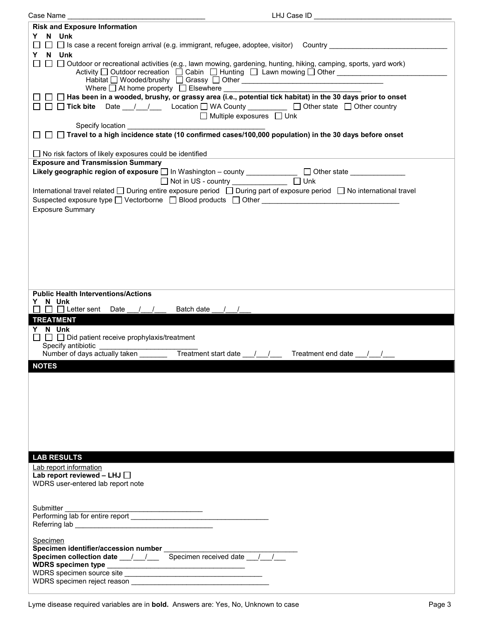| Case Name                                                      | LHJ Case ID                                                                                                                                                                                                                         |
|----------------------------------------------------------------|-------------------------------------------------------------------------------------------------------------------------------------------------------------------------------------------------------------------------------------|
| <b>Risk and Exposure Information</b>                           |                                                                                                                                                                                                                                     |
| Y N Unk                                                        |                                                                                                                                                                                                                                     |
|                                                                |                                                                                                                                                                                                                                     |
| Y N Unk                                                        |                                                                                                                                                                                                                                     |
|                                                                | $\Box$ $\Box$ Outdoor or recreational activities (e.g., lawn mowing, gardening, hunting, hiking, camping, sports, yard work)<br>Activity □ Outdoor recreation □ Cabin □ Hunting □ Lawn mowing □ Other _____________________________ |
|                                                                |                                                                                                                                                                                                                                     |
|                                                                |                                                                                                                                                                                                                                     |
|                                                                | $\Box~\Box~\Box$ Has been in a wooded, brushy, or grassy area (i.e., potential tick habitat) in the 30 days prior to onset                                                                                                          |
|                                                                | □ □ <b>Tick bite</b> Date __/ __/ __ Location □ WA County _________ □ Other state □ Other country                                                                                                                                   |
|                                                                | $\Box$ Multiple exposures $\Box$ Unk                                                                                                                                                                                                |
|                                                                |                                                                                                                                                                                                                                     |
|                                                                | □ □ Travel to a high incidence state (10 confirmed cases/100,000 population) in the 30 days before onset                                                                                                                            |
|                                                                |                                                                                                                                                                                                                                     |
| $\Box$ No risk factors of likely exposures could be identified |                                                                                                                                                                                                                                     |
| <b>Exposure and Transmission Summary</b>                       |                                                                                                                                                                                                                                     |
|                                                                | Likely geographic region of exposure $\Box$ In Washington - county ____________ $\Box$ Other state ____________                                                                                                                     |
|                                                                | □ Not in US - country _______________ □ Unk                                                                                                                                                                                         |
|                                                                | International travel related □ During entire exposure period □ During part of exposure period □ No international travel                                                                                                             |
|                                                                |                                                                                                                                                                                                                                     |
| <b>Exposure Summary</b>                                        |                                                                                                                                                                                                                                     |
|                                                                |                                                                                                                                                                                                                                     |
|                                                                |                                                                                                                                                                                                                                     |
|                                                                |                                                                                                                                                                                                                                     |
|                                                                |                                                                                                                                                                                                                                     |
|                                                                |                                                                                                                                                                                                                                     |
|                                                                |                                                                                                                                                                                                                                     |
|                                                                |                                                                                                                                                                                                                                     |
| <b>Public Health Interventions/Actions</b>                     |                                                                                                                                                                                                                                     |
|                                                                |                                                                                                                                                                                                                                     |
| Y N Unk                                                        |                                                                                                                                                                                                                                     |
| $\square$ $\square$ Letter sent Date $\_$ / $\_$               | Batch date /                                                                                                                                                                                                                        |
| <b>TREATMENT</b>                                               |                                                                                                                                                                                                                                     |
| Y N Unk                                                        |                                                                                                                                                                                                                                     |
| $\Box$ $\Box$ Did patient receive prophylaxis/treatment        |                                                                                                                                                                                                                                     |
| Specify antibiotic                                             |                                                                                                                                                                                                                                     |
| Number of days actually taken _______                          | Treatment start date $\frac{1}{\sqrt{2}}$<br>Treatment end date / /                                                                                                                                                                 |
| <b>NOTES</b>                                                   |                                                                                                                                                                                                                                     |
|                                                                |                                                                                                                                                                                                                                     |
|                                                                |                                                                                                                                                                                                                                     |
|                                                                |                                                                                                                                                                                                                                     |
|                                                                |                                                                                                                                                                                                                                     |
|                                                                |                                                                                                                                                                                                                                     |
|                                                                |                                                                                                                                                                                                                                     |
|                                                                |                                                                                                                                                                                                                                     |
|                                                                |                                                                                                                                                                                                                                     |
| <b>LAB RESULTS</b>                                             |                                                                                                                                                                                                                                     |
|                                                                |                                                                                                                                                                                                                                     |
| Lab report information<br>Lab report reviewed - LHJ $\Box$     |                                                                                                                                                                                                                                     |
| WDRS user-entered lab report note                              |                                                                                                                                                                                                                                     |
|                                                                |                                                                                                                                                                                                                                     |
|                                                                |                                                                                                                                                                                                                                     |
| Submitter                                                      |                                                                                                                                                                                                                                     |
|                                                                |                                                                                                                                                                                                                                     |
|                                                                |                                                                                                                                                                                                                                     |
| Specimen                                                       |                                                                                                                                                                                                                                     |
|                                                                |                                                                                                                                                                                                                                     |
| Specimen collection date __/__/___ Specimen received date / /  |                                                                                                                                                                                                                                     |
|                                                                |                                                                                                                                                                                                                                     |
| WDRS specimen source site                                      |                                                                                                                                                                                                                                     |